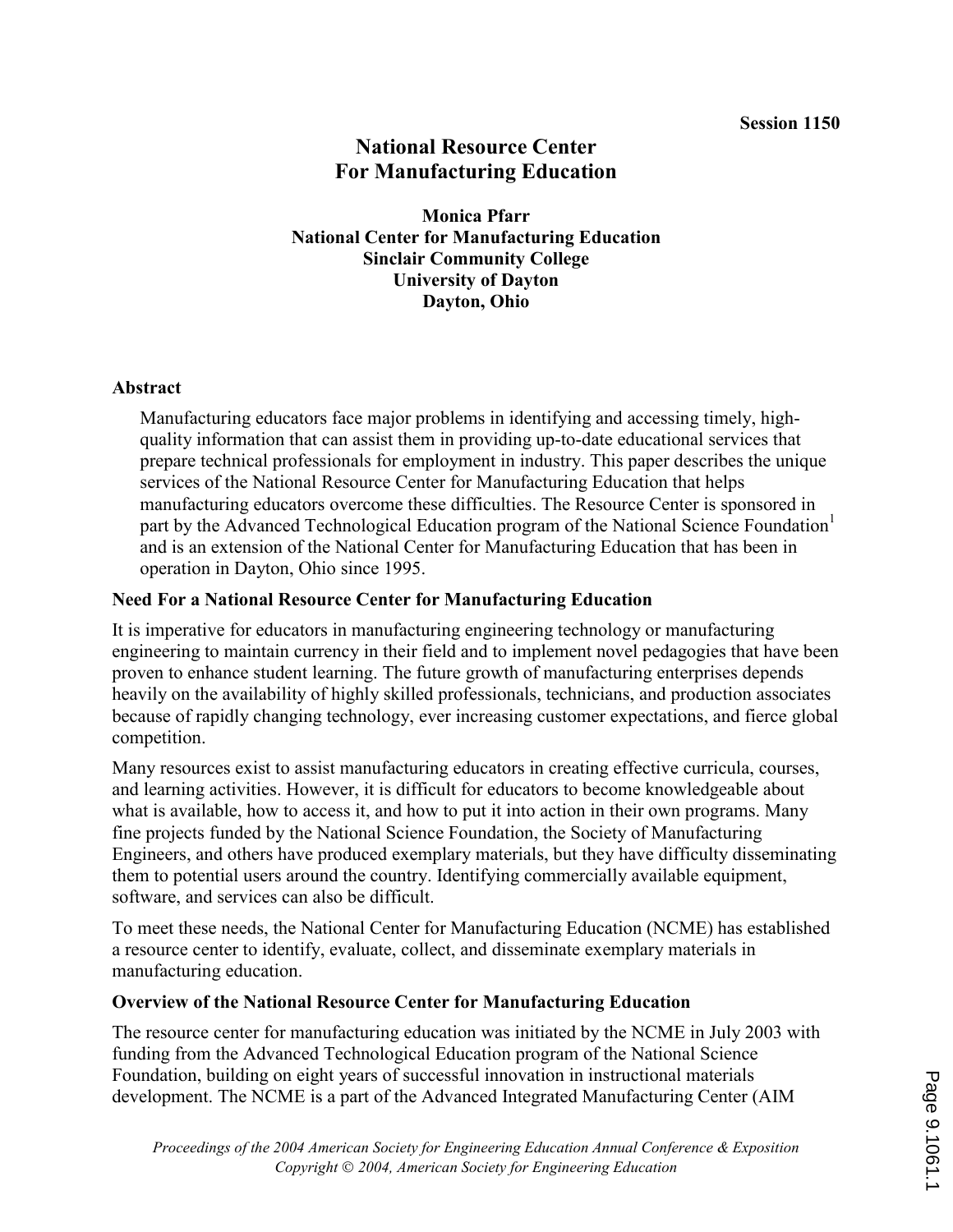# National Resource Center For Manufacturing Education

Monica Pfarr National Center for Manufacturing Education Sinclair Community College University of Dayton Dayton, Ohio

#### Abstract

Manufacturing educators face major problems in identifying and accessing timely, highquality information that can assist them in providing up-to-date educational services that prepare technical professionals for employment in industry. This paper describes the unique services of the National Resource Center for Manufacturing Education that helps manufacturing educators overcome these difficulties. The Resource Center is sponsored in part by the Advanced Technological Education program of the National Science Foundation<sup>1</sup> and is an extension of the National Center for Manufacturing Education that has been in operation in Dayton, Ohio since 1995.

#### Need For a National Resource Center for Manufacturing Education

It is imperative for educators in manufacturing engineering technology or manufacturing engineering to maintain currency in their field and to implement novel pedagogies that have been proven to enhance student learning. The future growth of manufacturing enterprises depends heavily on the availability of highly skilled professionals, technicians, and production associates because of rapidly changing technology, ever increasing customer expectations, and fierce global competition.

Many resources exist to assist manufacturing educators in creating effective curricula, courses, and learning activities. However, it is difficult for educators to become knowledgeable about what is available, how to access it, and how to put it into action in their own programs. Many fine projects funded by the National Science Foundation, the Society of Manufacturing Engineers, and others have produced exemplary materials, but they have difficulty disseminating them to potential users around the country. Identifying commercially available equipment, software, and services can also be difficult.

To meet these needs, the National Center for Manufacturing Education (NCME) has established a resource center to identify, evaluate, collect, and disseminate exemplary materials in manufacturing education.

## Overview of the National Resource Center for Manufacturing Education

The resource center for manufacturing education was initiated by the NCME in July 2003 with funding from the Advanced Technological Education program of the National Science Foundation, building on eight years of successful innovation in instructional materials development. The NCME is a part of the Advanced Integrated Manufacturing Center (AIM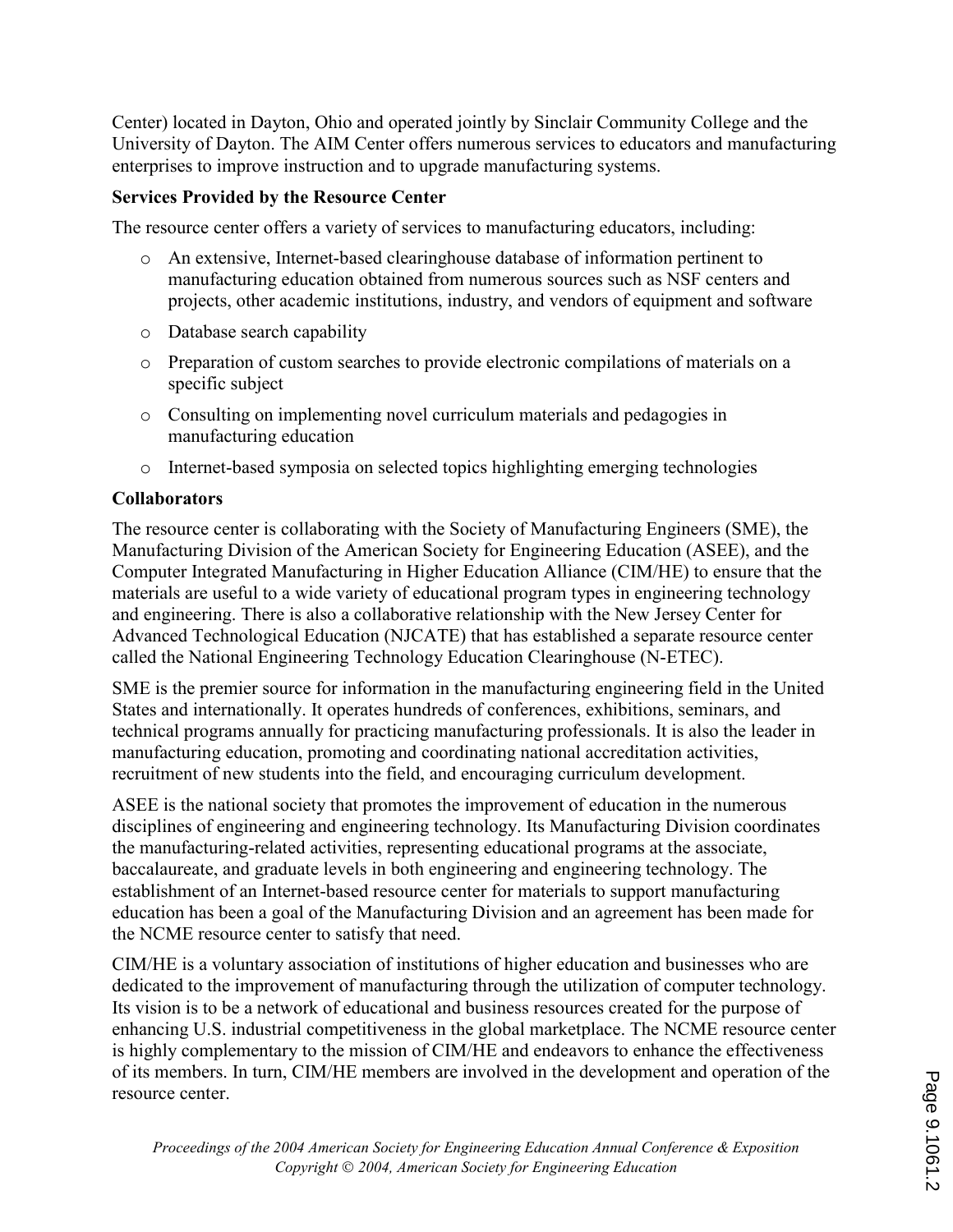Center) located in Dayton, Ohio and operated jointly by Sinclair Community College and the University of Dayton. The AIM Center offers numerous services to educators and manufacturing enterprises to improve instruction and to upgrade manufacturing systems.

## Services Provided by the Resource Center

The resource center offers a variety of services to manufacturing educators, including:

- o An extensive, Internet-based clearinghouse database of information pertinent to manufacturing education obtained from numerous sources such as NSF centers and projects, other academic institutions, industry, and vendors of equipment and software
- o Database search capability
- o Preparation of custom searches to provide electronic compilations of materials on a specific subject
- o Consulting on implementing novel curriculum materials and pedagogies in manufacturing education
- o Internet-based symposia on selected topics highlighting emerging technologies

# **Collaborators**

The resource center is collaborating with the Society of Manufacturing Engineers (SME), the Manufacturing Division of the American Society for Engineering Education (ASEE), and the Computer Integrated Manufacturing in Higher Education Alliance (CIM/HE) to ensure that the materials are useful to a wide variety of educational program types in engineering technology and engineering. There is also a collaborative relationship with the New Jersey Center for Advanced Technological Education (NJCATE) that has established a separate resource center called the National Engineering Technology Education Clearinghouse (N-ETEC).

SME is the premier source for information in the manufacturing engineering field in the United States and internationally. It operates hundreds of conferences, exhibitions, seminars, and technical programs annually for practicing manufacturing professionals. It is also the leader in manufacturing education, promoting and coordinating national accreditation activities, recruitment of new students into the field, and encouraging curriculum development.

ASEE is the national society that promotes the improvement of education in the numerous disciplines of engineering and engineering technology. Its Manufacturing Division coordinates the manufacturing-related activities, representing educational programs at the associate, baccalaureate, and graduate levels in both engineering and engineering technology. The establishment of an Internet-based resource center for materials to support manufacturing education has been a goal of the Manufacturing Division and an agreement has been made for the NCME resource center to satisfy that need.

CIM/HE is a voluntary association of institutions of higher education and businesses who are dedicated to the improvement of manufacturing through the utilization of computer technology. Its vision is to be a network of educational and business resources created for the purpose of enhancing U.S. industrial competitiveness in the global marketplace. The NCME resource center is highly complementary to the mission of CIM/HE and endeavors to enhance the effectiveness of its members. In turn, CIM/HE members are involved in the development and operation of the resource center.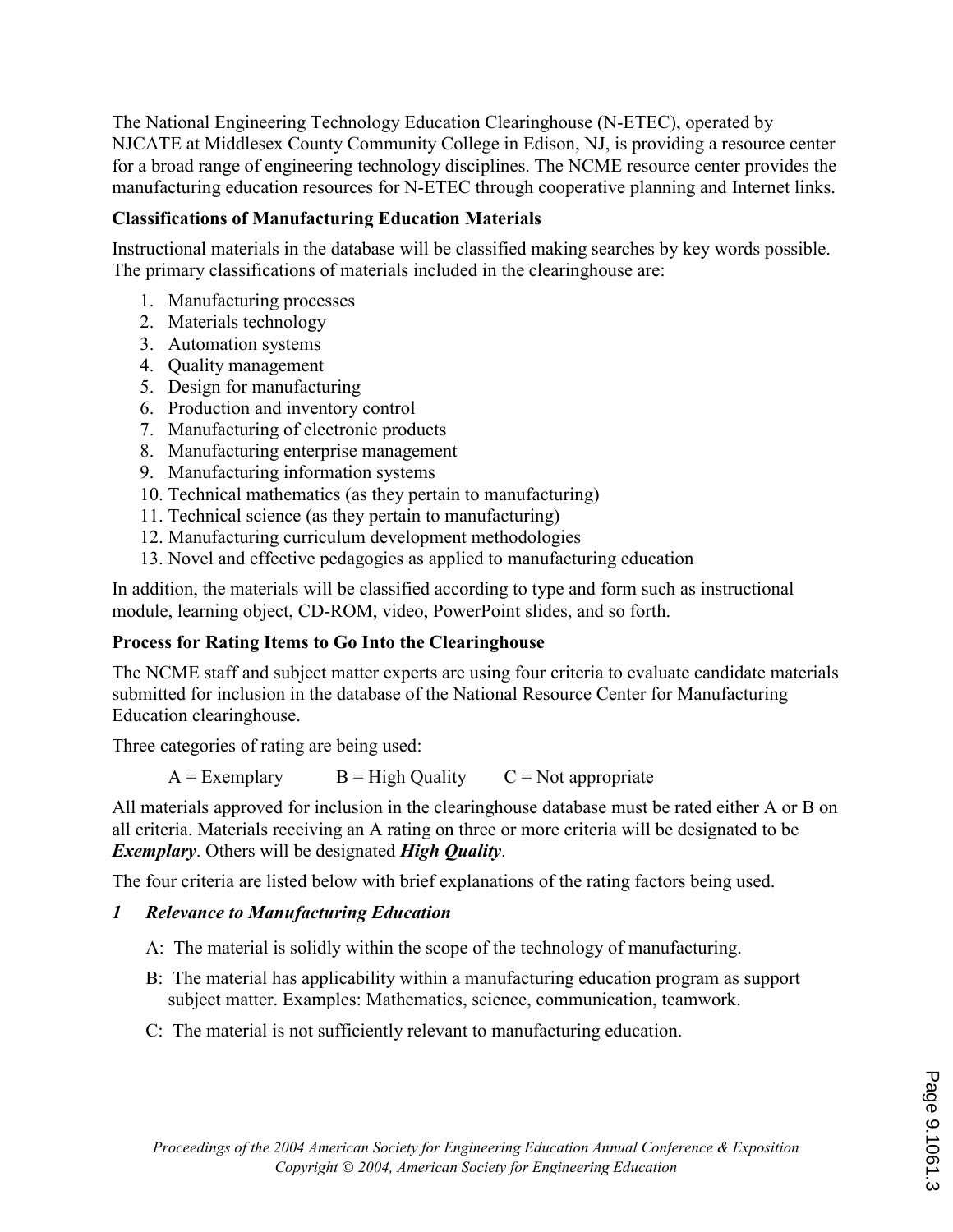The National Engineering Technology Education Clearinghouse (N-ETEC), operated by NJCATE at Middlesex County Community College in Edison, NJ, is providing a resource center for a broad range of engineering technology disciplines. The NCME resource center provides the manufacturing education resources for N-ETEC through cooperative planning and Internet links.

## Classifications of Manufacturing Education Materials

Instructional materials in the database will be classified making searches by key words possible. The primary classifications of materials included in the clearinghouse are:

- 1. Manufacturing processes
- 2. Materials technology
- 3. Automation systems
- 4. Quality management
- 5. Design for manufacturing
- 6. Production and inventory control
- 7. Manufacturing of electronic products
- 8. Manufacturing enterprise management
- 9. Manufacturing information systems
- 10. Technical mathematics (as they pertain to manufacturing)
- 11. Technical science (as they pertain to manufacturing)
- 12. Manufacturing curriculum development methodologies
- 13. Novel and effective pedagogies as applied to manufacturing education

In addition, the materials will be classified according to type and form such as instructional module, learning object, CD-ROM, video, PowerPoint slides, and so forth.

#### Process for Rating Items to Go Into the Clearinghouse

The NCME staff and subject matter experts are using four criteria to evaluate candidate materials submitted for inclusion in the database of the National Resource Center for Manufacturing Education clearinghouse.

Three categories of rating are being used:

 $A = Exemplary$   $B = High Quality$   $C = Not appropriate$ 

All materials approved for inclusion in the clearinghouse database must be rated either A or B on all criteria. Materials receiving an A rating on three or more criteria will be designated to be **Exemplary.** Others will be designated **High Quality.** 

The four criteria are listed below with brief explanations of the rating factors being used.

## 1 Relevance to Manufacturing Education

- A: The material is solidly within the scope of the technology of manufacturing.
- B: The material has applicability within a manufacturing education program as support subject matter. Examples: Mathematics, science, communication, teamwork.
- C: The material is not sufficiently relevant to manufacturing education.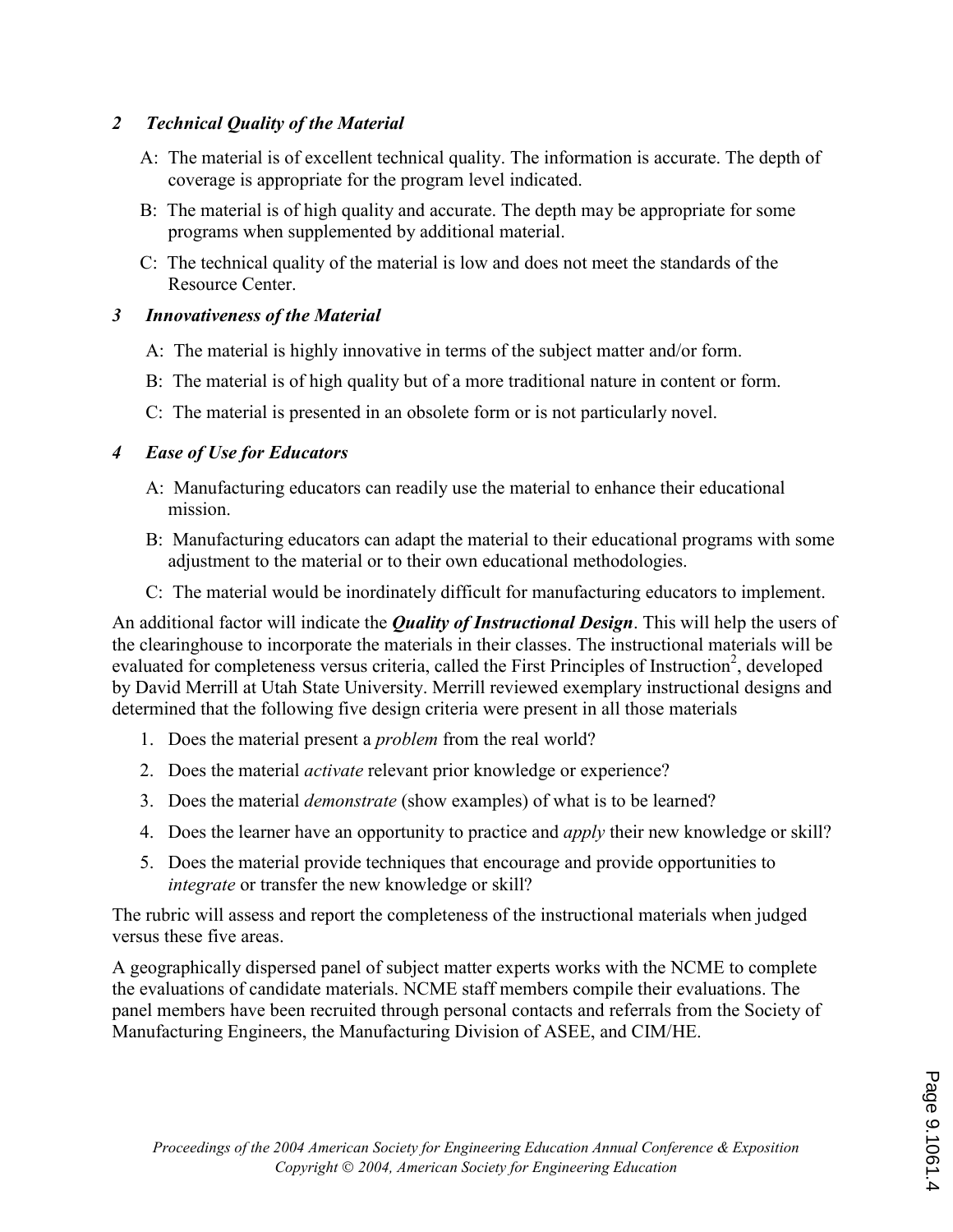#### 2 Technical Quality of the Material

- A: The material is of excellent technical quality. The information is accurate. The depth of coverage is appropriate for the program level indicated.
- B: The material is of high quality and accurate. The depth may be appropriate for some programs when supplemented by additional material.
- C: The technical quality of the material is low and does not meet the standards of the Resource Center.

## 3 Innovativeness of the Material

- A: The material is highly innovative in terms of the subject matter and/or form.
- B: The material is of high quality but of a more traditional nature in content or form.
- C: The material is presented in an obsolete form or is not particularly novel.

## 4 Ease of Use for Educators

- A: Manufacturing educators can readily use the material to enhance their educational mission.
- B: Manufacturing educators can adapt the material to their educational programs with some adjustment to the material or to their own educational methodologies.
- C: The material would be inordinately difficult for manufacturing educators to implement.

An additional factor will indicate the *Quality of Instructional Design*. This will help the users of the clearinghouse to incorporate the materials in their classes. The instructional materials will be evaluated for completeness versus criteria, called the First Principles of Instruction<sup>2</sup>, developed by David Merrill at Utah State University. Merrill reviewed exemplary instructional designs and determined that the following five design criteria were present in all those materials

- 1. Does the material present a problem from the real world?
- 2. Does the material *activate* relevant prior knowledge or experience?
- 3. Does the material *demonstrate* (show examples) of what is to be learned?
- 4. Does the learner have an opportunity to practice and *apply* their new knowledge or skill?
- 5. Does the material provide techniques that encourage and provide opportunities to integrate or transfer the new knowledge or skill?

The rubric will assess and report the completeness of the instructional materials when judged versus these five areas.

A geographically dispersed panel of subject matter experts works with the NCME to complete the evaluations of candidate materials. NCME staff members compile their evaluations. The panel members have been recruited through personal contacts and referrals from the Society of Manufacturing Engineers, the Manufacturing Division of ASEE, and CIM/HE.